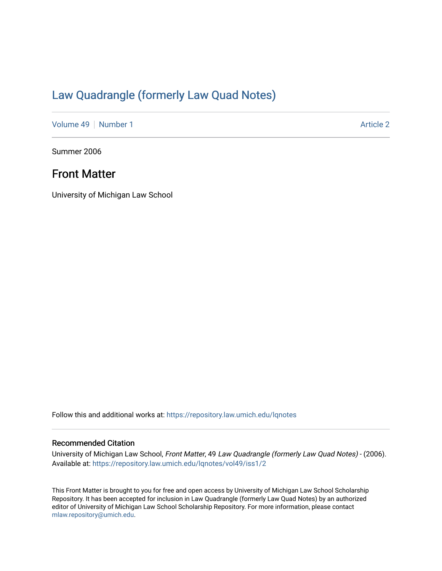# [Law Quadrangle \(formerly Law Quad Notes\)](https://repository.law.umich.edu/lqnotes)

[Volume 49](https://repository.law.umich.edu/lqnotes/vol49) | [Number 1](https://repository.law.umich.edu/lqnotes/vol49/iss1) Article 2

Summer 2006

## Front Matter

University of Michigan Law School

Follow this and additional works at: [https://repository.law.umich.edu/lqnotes](https://repository.law.umich.edu/lqnotes?utm_source=repository.law.umich.edu%2Flqnotes%2Fvol49%2Fiss1%2F2&utm_medium=PDF&utm_campaign=PDFCoverPages) 

## Recommended Citation

University of Michigan Law School, Front Matter, 49 Law Quadrangle (formerly Law Quad Notes) - (2006). Available at: [https://repository.law.umich.edu/lqnotes/vol49/iss1/2](https://repository.law.umich.edu/lqnotes/vol49/iss1/2?utm_source=repository.law.umich.edu%2Flqnotes%2Fvol49%2Fiss1%2F2&utm_medium=PDF&utm_campaign=PDFCoverPages) 

This Front Matter is brought to you for free and open access by University of Michigan Law School Scholarship Repository. It has been accepted for inclusion in Law Quadrangle (formerly Law Quad Notes) by an authorized editor of University of Michigan Law School Scholarship Repository. For more information, please contact [mlaw.repository@umich.edu.](mailto:mlaw.repository@umich.edu)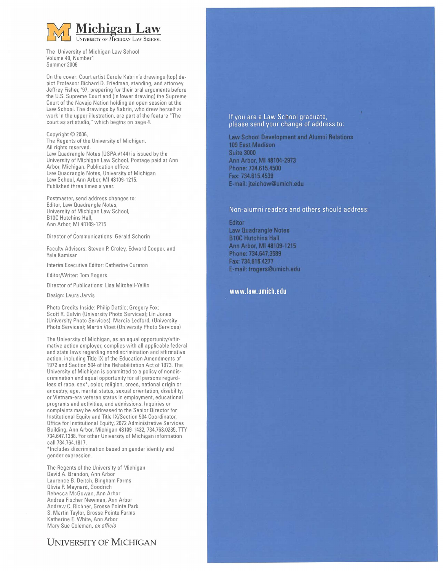

The University of Michigan Law School Volume 49, Numberl Summer 2006

On the cover: Court artist Carole Kabrin's drawings (top) depict Professor Richard D. Friedman, standing, and attorney Jeffrey Fisher, '97, preparing for their oral arguments before the U.S. Supreme Court and (in lower drawing) the Supreme Court of the Navajo Nation holding an open session at the Law School. The drawings by Kabrin, who drew herself at work in the upper illustration, are part of the feature "The court as art studio," which begins on page 4.

## Copyright© 2006,

The Regents of the University of Michigan. All rights reserved. Law Quadrangle Notes (USPA #144) is issued by the University of Michigan Law School. Postage paid at Ann Arbor, Michigan. Publication office: Law Quadrangle Notes, University of Michigan Law School, Ann Arbor, Ml 48109-1215. Published three times a year.

Postmaster, send address changes to: Editor, Law Quadrangle Notes, University of Michigan Law School, B<sub>10</sub>C Hutchins Hall, Ann Arbor, Ml 48109-1215

Director of Communications: Gerald Schorin

Faculty Advisors: Steven P. Croley, Edward Cooper, and Yale Kamisar

Interim Executive Editor: Catherine Cureton

Editor/Writer: Tom Rogers

Director of Publications: Lisa Mitchell-Yellin

Design: Laura Jarvis

Photo Credits Inside: Philip Dattilo; Gregory Fox; Scott R. Galvin (University Photo Services); Lin Jones (University Photo Services); Marcia Ledford, (University Photo Services); Martin Vloet (University Photo Services)

The University of Michigan, as an equal opportunity/affirmative action employer, complies with all applicable federal and state laws regarding nondiscrimination and affirmative action, including Title IX of the Education Amendments of 1972 and Section 504 of the Rehabilitation Act of 1973. The University of Michigan is committed to a policy of nondiscrimination and equal opportunity for all persons regardless of race, sex\*, color, religion, creed, national origin or ancestry, age, marital status, sexual orientation, disability, or Vietnam-era veteran status in employment, educational programs and activities, and admissions. Inquiries or complaints may be addressed to the Senior Director for Institutional Equity and Title IX/Section 504 Coordinator, Office for Institutional Equity, 2072 Administrative Services Building, Ann Arbor, Michigan 48109-1432, 734.763.0235, TTY 734.647.1388. For other University of Michigan information call 734.764.1817.

\*Includes discrimination based on gender identity and gender expression.

The Regents of the University of Michigan David A. Brandon, Ann Arbor Laurence 8. Deitch, Bingham Farms Olivia P. Maynard, Goodrich Rebecca McGowan, Ann Arbor Andrea Fischer Newman, Ann Arbor Andrew C. Richner, Grosse Pointe Park S. Martin Taylor, Grosse Pointe Farms Katherine E. White, Ann Arbor Mary Sue Coleman, ex officio

UNIVERSITY OF MICHIGAN

## If you are a Law School graduate, please send your change of address to:

Law School Development and Alumni Relations 109 East Madison **Suite 3000** Ann Arbor, MI 48104-2973 Phone: 734.615.4500 Fax: 734.615.4539 E-mail: jteichow@umich.edu

## Non-alumni readers and others should address:

Editor **Law Quadrangle Notes B10C Hutchins Hall** Ann Arbor, MI 48109-1215 Phone: 734,647,3589 Fax: 734.615.4277 E-mail: trogers@umich.edu

## **www.law.umich.edu**